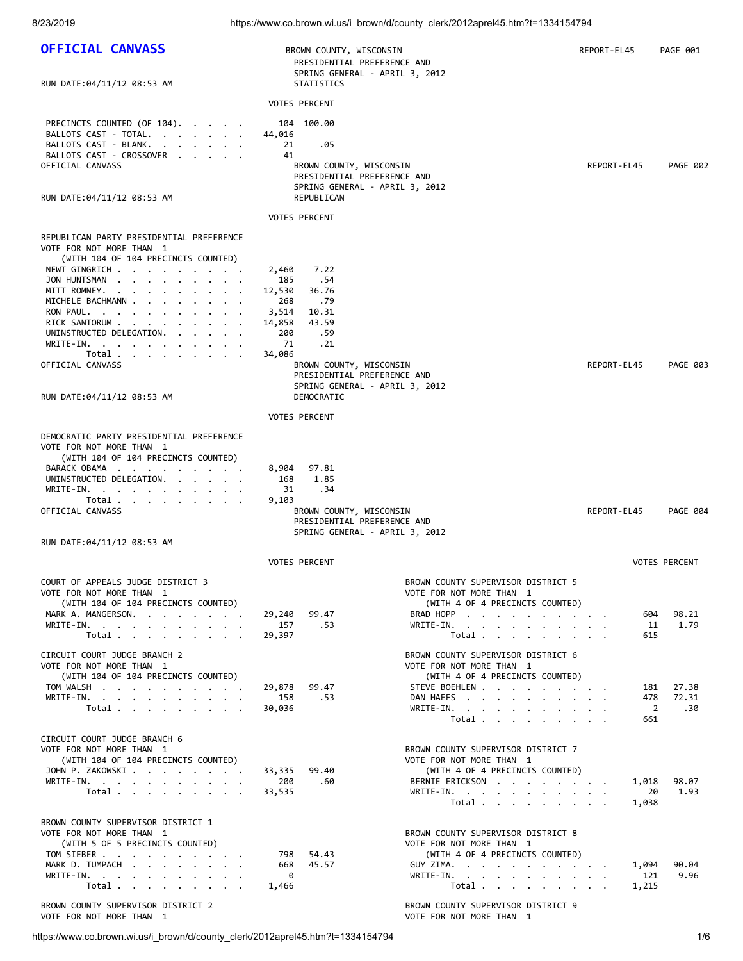8/23/2019 https://www.co.brown.wi.us/i\_brown/d/county\_clerk/2012aprel45.htm?t=1334154794

| <b>OFFICIAL CANVASS</b>                                                                                                                                                                                                                                                                                         | BROWN COUNTY, WISCONSIN<br>PRESIDENTIAL PREFERENCE AND<br>SPRING GENERAL - APRIL 3, 2012                                                                                                                                           |                                                                                                                                                                                                                                   | REPORT-EL45                  | <b>PAGE 001</b>       |
|-----------------------------------------------------------------------------------------------------------------------------------------------------------------------------------------------------------------------------------------------------------------------------------------------------------------|------------------------------------------------------------------------------------------------------------------------------------------------------------------------------------------------------------------------------------|-----------------------------------------------------------------------------------------------------------------------------------------------------------------------------------------------------------------------------------|------------------------------|-----------------------|
| RUN DATE:04/11/12 08:53 AM                                                                                                                                                                                                                                                                                      | STATISTICS                                                                                                                                                                                                                         |                                                                                                                                                                                                                                   |                              |                       |
|                                                                                                                                                                                                                                                                                                                 | <b>VOTES PERCENT</b>                                                                                                                                                                                                               |                                                                                                                                                                                                                                   |                              |                       |
| PRECINCTS COUNTED (OF 104).<br>BALLOTS CAST - TOTAL.<br>BALLOTS CAST - BLANK.<br>BALLOTS CAST - CROSSOVER<br>OFFICIAL CANVASS                                                                                                                                                                                   | 104 100.00<br>44,016<br>21<br>.05<br>41<br>BROWN COUNTY, WISCONSIN<br>PRESIDENTIAL PREFERENCE AND                                                                                                                                  |                                                                                                                                                                                                                                   | REPORT-EL45                  | PAGE 002              |
| RUN DATE:04/11/12 08:53 AM                                                                                                                                                                                                                                                                                      | SPRING GENERAL - APRIL 3, 2012<br>REPUBLICAN                                                                                                                                                                                       |                                                                                                                                                                                                                                   |                              |                       |
|                                                                                                                                                                                                                                                                                                                 | <b>VOTES PERCENT</b>                                                                                                                                                                                                               |                                                                                                                                                                                                                                   |                              |                       |
| REPUBLICAN PARTY PRESIDENTIAL PREFERENCE<br>VOTE FOR NOT MORE THAN 1<br>(WITH 104 OF 104 PRECINCTS COUNTED)<br>NEWT GINGRICH<br>JON HUNTSMAN<br>MITT ROMNEY.<br>MICHELE BACHMANN<br>RON PAUL.<br>RICK SANTORUM<br>UNINSTRUCTED DELEGATION.<br>WRITE-IN.<br>Total $\cdots$ $\cdots$ $\cdots$<br>OFFICIAL CANVASS | 2,460<br>7.22<br>.54<br>185<br>12,530<br>36.76<br>268<br>.79<br>3,514<br>10.31<br>43.59<br>14,858<br>200<br>.59<br>.21<br>71<br>34,086<br>BROWN COUNTY, WISCONSIN<br>PRESIDENTIAL PREFERENCE AND<br>SPRING GENERAL - APRIL 3, 2012 |                                                                                                                                                                                                                                   | REPORT-EL45                  | PAGE 003              |
| RUN DATE:04/11/12 08:53 AM                                                                                                                                                                                                                                                                                      | DEMOCRATIC                                                                                                                                                                                                                         |                                                                                                                                                                                                                                   |                              |                       |
|                                                                                                                                                                                                                                                                                                                 | <b>VOTES PERCENT</b>                                                                                                                                                                                                               |                                                                                                                                                                                                                                   |                              |                       |
| DEMOCRATIC PARTY PRESIDENTIAL PREFERENCE<br>VOTE FOR NOT MORE THAN 1<br>(WITH 104 OF 104 PRECINCTS COUNTED)<br>BARACK OBAMA<br>UNINSTRUCTED DELEGATION.<br>WRITE-IN.<br>Total<br>OFFICIAL CANVASS                                                                                                               | 8,904 97.81<br>168<br>1.85<br>.34<br>31<br>9,103<br>BROWN COUNTY, WISCONSIN<br>PRESIDENTIAL PREFERENCE AND<br>SPRING GENERAL - APRIL 3, 2012                                                                                       |                                                                                                                                                                                                                                   | REPORT-EL45                  | PAGE 004              |
| RUN DATE:04/11/12 08:53 AM                                                                                                                                                                                                                                                                                      |                                                                                                                                                                                                                                    |                                                                                                                                                                                                                                   |                              |                       |
|                                                                                                                                                                                                                                                                                                                 | <b>VOTES PERCENT</b>                                                                                                                                                                                                               |                                                                                                                                                                                                                                   |                              | <b>VOTES PERCENT</b>  |
| COURT OF APPEALS JUDGE DISTRICT 3<br>VOTE FOR NOT MORE THAN 1<br>(WITH 104 OF 104 PRECINCTS COUNTED)<br>MARK A. MANGERSON.<br>WRITE-IN.<br>Total $\cdots$ $\cdots$ $\cdots$                                                                                                                                     | 99.47<br>29,240<br>157<br>.53<br>29,397                                                                                                                                                                                            | BROWN COUNTY SUPERVISOR DISTRICT 5<br>VOTE FOR NOT MORE THAN 1<br>(WITH 4 OF 4 PRECINCTS COUNTED)<br>BRAD HOPP<br>WRITE-IN.<br>Total                                                                                              | 604<br>11<br>615             | 98.21<br>1.79         |
| CIRCUIT COURT JUDGE BRANCH 2<br>VOTE FOR NOT MORE THAN 1<br>(WITH 104 OF 104 PRECINCTS COUNTED)<br>TOM WALSH<br>WRITE-IN.<br>Total $\cdots$ $\cdots$ $\cdots$                                                                                                                                                   | 29,878<br>99.47<br>158<br>.53<br>30,036                                                                                                                                                                                            | BROWN COUNTY SUPERVISOR DISTRICT 6<br>VOTE FOR NOT MORE THAN 1<br>(WITH 4 OF 4 PRECINCTS COUNTED)<br>STEVE BOEHLEN<br>DAN HAEFS<br>WRITE-IN.                                                                                      | 181<br>478<br>$\overline{2}$ | 27.38<br>72.31<br>.30 |
|                                                                                                                                                                                                                                                                                                                 |                                                                                                                                                                                                                                    | Total                                                                                                                                                                                                                             | 661                          |                       |
| CIRCUIT COURT JUDGE BRANCH 6<br>VOTE FOR NOT MORE THAN 1<br>(WITH 104 OF 104 PRECINCTS COUNTED)<br>JOHN P. ZAKOWSKI.<br>WRITE-IN.<br>Total $\cdots$ $\cdots$ $\cdots$                                                                                                                                           | 33,335<br>99.40<br>200<br>.60<br>33,535                                                                                                                                                                                            | BROWN COUNTY SUPERVISOR DISTRICT 7<br>VOTE FOR NOT MORE THAN 1<br>(WITH 4 OF 4 PRECINCTS COUNTED)<br>BERNIE ERICKSON<br>WRITE-IN.<br>Total $\cdots$ $\cdots$ $\cdots$                                                             | 1,018<br>20<br>1,038         | 98.07<br>1.93         |
| BROWN COUNTY SUPERVISOR DISTRICT 1<br>VOTE FOR NOT MORE THAN 1<br>(WITH 5 OF 5 PRECINCTS COUNTED)<br>TOM SIEBER<br>MARK D. TUMPACH<br>WRITE-IN.<br>Total $\cdots$ $\cdots$ $\cdots$<br>BROWN COUNTY SUPERVISOR DISTRICT 2<br>VOTE FOR NOT MORE THAN 1                                                           | 798<br>54.43<br>45.57<br>668<br>0<br>1,466                                                                                                                                                                                         | BROWN COUNTY SUPERVISOR DISTRICT 8<br>VOTE FOR NOT MORE THAN 1<br>(WITH 4 OF 4 PRECINCTS COUNTED)<br>GUY ZIMA.<br>WRITE-IN.<br>Total $\cdots$ $\cdots$ $\cdots$<br>BROWN COUNTY SUPERVISOR DISTRICT 9<br>VOTE FOR NOT MORE THAN 1 | 1,094<br>121<br>1,215        | 90.04<br>9.96         |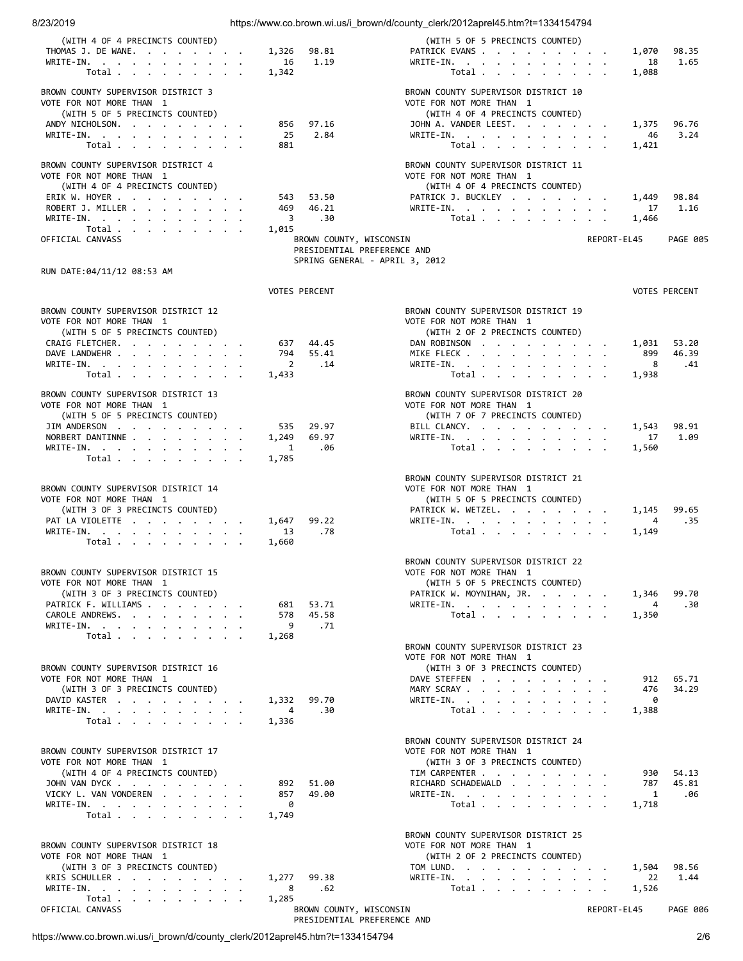## 8/23/2019 https://www.co.brown.wi.us/i\_brown/d/county\_clerk/2012aprel45.htm?t=1334154794

| (WITH 4 OF 4 PRECINCTS COUNTED)     |       |                      | (WITH 5 OF 5 PRECINCTS COUNTED)                        |             |       |                      |
|-------------------------------------|-------|----------------------|--------------------------------------------------------|-------------|-------|----------------------|
| THOMAS J. DE WANE.                  | 1,326 | 98.81                | PATRICK EVANS                                          |             | 1,070 | 98.35                |
| WRITE-IN.                           | 16    | 1.19                 | WRITE-IN.                                              |             | 18    | 1.65                 |
| Total                               | 1,342 |                      | Total $\cdots$ $\cdots$ $\cdots$                       |             | 1,088 |                      |
| BROWN COUNTY SUPERVISOR DISTRICT 3  |       |                      | BROWN COUNTY SUPERVISOR DISTRICT 10                    |             |       |                      |
| VOTE FOR NOT MORE THAN 1            |       |                      | VOTE FOR NOT MORE THAN 1                               |             |       |                      |
| (WITH 5 OF 5 PRECINCTS COUNTED)     |       |                      | (WITH 4 OF 4 PRECINCTS COUNTED)                        |             |       |                      |
| ANDY NICHOLSON.                     | 856   | 97.16                | JOHN A. VANDER LEEST.                                  |             | 1,375 | 96.76                |
| WRITE-IN.                           | 25    | 2.84                 | WRITE-IN.                                              |             | 46    | 3.24                 |
| Total                               | 881   |                      | Total $\cdots$ $\cdots$ $\cdots$                       |             | 1,421 |                      |
| BROWN COUNTY SUPERVISOR DISTRICT 4  |       |                      | BROWN COUNTY SUPERVISOR DISTRICT 11                    |             |       |                      |
| VOTE FOR NOT MORE THAN 1            |       |                      | VOTE FOR NOT MORE THAN 1                               |             |       |                      |
| (WITH 4 OF 4 PRECINCTS COUNTED)     |       |                      | (WITH 4 OF 4 PRECINCTS COUNTED)                        |             |       |                      |
| ERIK W. HOYER                       |       | 543 53.50            | PATRICK J. BUCKLEY                                     |             | 1,449 | 98.84                |
| ROBERT J. MILLER                    | 469   | 46.21                | WRITE-IN.                                              |             | 17    | 1.16                 |
| WRITE-IN.                           | 3     | .30                  | Total                                                  |             | 1,466 |                      |
| Total                               | 1,015 |                      |                                                        |             |       |                      |
| OFFICIAL CANVASS                    |       |                      | BROWN COUNTY, WISCONSIN                                | REPORT-EL45 |       | <b>PAGE 005</b>      |
|                                     |       |                      | PRESIDENTIAL PREFERENCE AND                            |             |       |                      |
| RUN DATE: 04/11/12 08:53 AM         |       |                      | SPRING GENERAL - APRIL 3, 2012                         |             |       |                      |
|                                     |       |                      |                                                        |             |       |                      |
|                                     |       | <b>VOTES PERCENT</b> |                                                        |             |       | <b>VOTES PERCENT</b> |
| BROWN COUNTY SUPERVISOR DISTRICT 12 |       |                      | BROWN COUNTY SUPERVISOR DISTRICT 19                    |             |       |                      |
| VOTE FOR NOT MORE THAN 1            |       |                      | VOTE FOR NOT MORE THAN 1                               |             |       |                      |
| (WITH 5 OF 5 PRECINCTS COUNTED)     |       |                      | (WITH 2 OF 2 PRECINCTS COUNTED)                        |             |       |                      |
| CRAIG FLETCHER.                     | 637   | 44.45                | DAN ROBINSON                                           |             | 1,031 | 53.20                |
| DAVE LANDWEHR                       | 794   | 55.41                | MIKE FLECK                                             |             | 899   | 46.39                |
| WRITE-IN.                           | 2     | .14                  | WRITE-IN.                                              |             | 8     | .41                  |
| Total                               | 1,433 |                      | Total                                                  |             | 1,938 |                      |
| BROWN COUNTY SUPERVISOR DISTRICT 13 |       |                      | BROWN COUNTY SUPERVISOR DISTRICT 20                    |             |       |                      |
| VOTE FOR NOT MORE THAN 1            |       |                      | VOTE FOR NOT MORE THAN 1                               |             |       |                      |
| (WITH 5 OF 5 PRECINCTS COUNTED)     |       |                      | (WITH 7 OF 7 PRECINCTS COUNTED)                        |             |       |                      |
| JIM ANDERSON                        | 535   | 29.97                | BILL CLANCY.                                           |             | 1,543 | 98.91                |
| NORBERT DANTINNE                    | 1,249 | 69.97                | WRITE-IN.                                              |             | 17    | 1.09                 |
| WRITE-IN.                           | 1     | .06                  | Total                                                  |             | 1,560 |                      |
| Total $\cdots$ $\cdots$ $\cdots$    | 1,785 |                      |                                                        |             |       |                      |
|                                     |       |                      | BROWN COUNTY SUPERVISOR DISTRICT 21                    |             |       |                      |
| BROWN COUNTY SUPERVISOR DISTRICT 14 |       |                      | VOTE FOR NOT MORE THAN 1                               |             |       |                      |
| VOTE FOR NOT MORE THAN 1            |       |                      | (WITH 5 OF 5 PRECINCTS COUNTED)                        |             |       |                      |
| (WITH 3 OF 3 PRECINCTS COUNTED)     |       |                      | PATRICK W. WETZEL.                                     |             | 1,145 | 99.65                |
| PAT LA VIOLETTE                     | 1,647 | 99.22                | WRITE-IN.                                              |             | 4     | .35                  |
| WRITE-IN.                           | 13    | .78                  | Total $\cdots$ $\cdots$ $\cdots$                       |             | 1,149 |                      |
| Total $\cdots$ $\cdots$ $\cdots$    | 1,660 |                      |                                                        |             |       |                      |
|                                     |       |                      | BROWN COUNTY SUPERVISOR DISTRICT 22                    |             |       |                      |
| BROWN COUNTY SUPERVISOR DISTRICT 15 |       |                      | VOTE FOR NOT MORE THAN 1                               |             |       |                      |
| VOTE FOR NOT MORE THAN 1            |       |                      | (WITH 5 OF 5 PRECINCTS COUNTED)                        |             |       |                      |
| (WITH 3 OF 3 PRECINCTS COUNTED)     |       |                      | PATRICK W. MOYNIHAN, JR.                               |             | 1,346 | 99.70                |
| PATRICK F. WILLIAMS                 | 681   | 53.71                | WRITE-IN.                                              |             | 4     | .30                  |
| CAROLE ANDREWS.                     | 578   | 45.58                | Total $\cdots$ $\cdots$ $\cdots$                       |             | 1,350 |                      |
| WRITE-IN.                           | 9     | .71                  |                                                        |             |       |                      |
| Total $\cdots$ $\cdots$ $\cdots$    | 1,268 |                      | BROWN COUNTY SUPERVISOR DISTRICT 23                    |             |       |                      |
|                                     |       |                      | VOTE FOR NOT MORE THAN 1                               |             |       |                      |
| BROWN COUNTY SUPERVISOR DISTRICT 16 |       |                      | (WITH 3 OF 3 PRECINCTS COUNTED)                        |             |       |                      |
| VOTE FOR NOT MORE THAN 1            |       |                      | DAVE STEFFEN.                                          |             | 912   | 65.71                |
| (WITH 3 OF 3 PRECINCTS COUNTED)     |       |                      | MARY SCRAY                                             |             | 476   | 34.29                |
| DAVID KASTER                        | 1,332 | 99.70                | WRITE-IN.                                              |             | 0     |                      |
| WRITE-IN.                           | 4     | .30                  | Total $\cdots$ $\cdots$ $\cdots$                       |             | 1,388 |                      |
| Total                               | 1,336 |                      |                                                        |             |       |                      |
|                                     |       |                      | BROWN COUNTY SUPERVISOR DISTRICT 24                    |             |       |                      |
| BROWN COUNTY SUPERVISOR DISTRICT 17 |       |                      | VOTE FOR NOT MORE THAN 1                               |             |       |                      |
| VOTE FOR NOT MORE THAN 1            |       |                      | (WITH 3 OF 3 PRECINCTS COUNTED)                        |             |       |                      |
| (WITH 4 OF 4 PRECINCTS COUNTED)     |       |                      | TIM CARPENTER                                          |             | 930   | 54.13                |
| JOHN VAN DYCK                       | 892   | 51.00                | RICHARD SCHADEWALD                                     |             | 787   | 45.81                |
| VICKY L. VAN VONDEREN               | 857   | 49.00                | WRITE-IN.                                              |             | 1     | .06                  |
| WRITE-IN.                           | 0     |                      | Total                                                  |             | 1,718 |                      |
| Total                               | 1,749 |                      |                                                        |             |       |                      |
|                                     |       |                      | BROWN COUNTY SUPERVISOR DISTRICT 25                    |             |       |                      |
| BROWN COUNTY SUPERVISOR DISTRICT 18 |       |                      | VOTE FOR NOT MORE THAN 1                               |             |       |                      |
| VOTE FOR NOT MORE THAN 1            |       |                      | (WITH 2 OF 2 PRECINCTS COUNTED)                        |             |       |                      |
| (WITH 3 OF 3 PRECINCTS COUNTED)     |       |                      | TOM LUND.                                              |             | 1,504 | 98.56                |
| KRIS SCHULLER                       | 1,277 | 99.38                | WRITE-IN.                                              |             | 22    | 1.44                 |
| WRITE-IN.                           | 8     | .62                  | Total                                                  |             | 1,526 |                      |
| Total $\cdots$ $\cdots$ $\cdots$    | 1,285 |                      |                                                        |             |       |                      |
| OFFICIAL CANVASS                    |       |                      | BROWN COUNTY, WISCONSIN<br>PRESIDENTIAL PREFERENCE AND | REPORT-EL45 |       | <b>PAGE 006</b>      |

https://www.co.brown.wi.us/i\_brown/d/county\_clerk/2012aprel45.htm?t=1334154794 2/6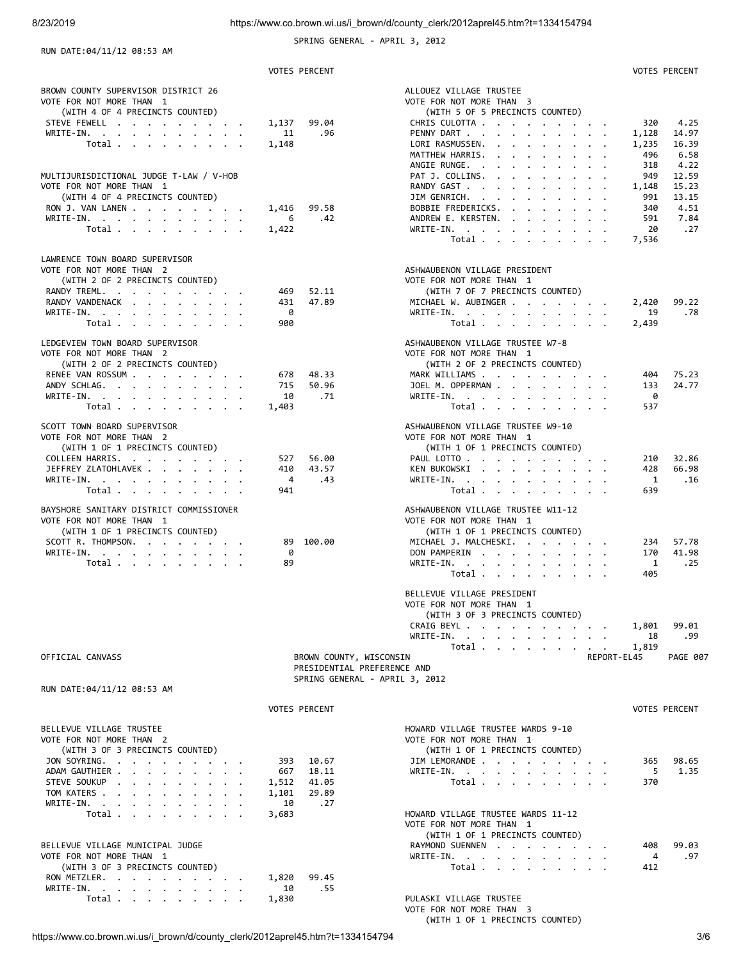RUN DATE:04/11/12 08:53 AM

## 8/23/2019 https://www.co.brown.wi.us/i\_brown/d/county\_clerk/2012aprel45.htm?t=1334154794

SPRING GENERAL - APRIL 3, 2012

|                                                                                                                              |       | <b>VOTES PERCENT</b> | <b>VOTES PERCENT</b>                                                                                                                                                                                                                                                                |          |
|------------------------------------------------------------------------------------------------------------------------------|-------|----------------------|-------------------------------------------------------------------------------------------------------------------------------------------------------------------------------------------------------------------------------------------------------------------------------------|----------|
| BROWN COUNTY SUPERVISOR DISTRICT 26<br>VOTE FOR NOT MORE THAN 1<br>(WITH 4 OF 4 PRECINCTS COUNTED)                           |       |                      | ALLOUEZ VILLAGE TRUSTEE<br>VOTE FOR NOT MORE THAN 3<br>(WITH 5 OF 5 PRECINCTS COUNTED)                                                                                                                                                                                              |          |
| STEVE FEWELL                                                                                                                 | 1,137 | 99.04                | CHRIS CULOTTA<br>320                                                                                                                                                                                                                                                                | 4.25     |
| WRITE-IN.                                                                                                                    | 11    | .96                  | PENNY DART<br>1,128<br>$\cdot$ $\cdot$                                                                                                                                                                                                                                              | 14.97    |
| Total $\cdots$ $\cdots$ $\cdots$                                                                                             | 1,148 |                      | LORI RASMUSSEN.<br>1,235<br>$\mathbf{r}$ , $\mathbf{r}$ , $\mathbf{r}$ , $\mathbf{r}$ , $\mathbf{r}$                                                                                                                                                                                | 16.39    |
|                                                                                                                              |       |                      | MATTHEW HARRIS.<br>496<br>$\cdot$ $\cdot$ $\cdot$ $\cdot$ $\cdot$ $\cdot$                                                                                                                                                                                                           | 6.58     |
|                                                                                                                              |       |                      | ANGIE RUNGE.<br>318                                                                                                                                                                                                                                                                 | 4.22     |
| MULTIJURISDICTIONAL JUDGE T-LAW / V-HOB                                                                                      |       |                      | PAT J. COLLINS.<br>949<br>$\mathbf{r}$ , $\mathbf{r}$ , $\mathbf{r}$ , $\mathbf{r}$ , $\mathbf{r}$                                                                                                                                                                                  | 12.59    |
| VOTE FOR NOT MORE THAN 1                                                                                                     |       |                      | RANDY GAST<br>1,148                                                                                                                                                                                                                                                                 | 15.23    |
| (WITH 4 OF 4 PRECINCTS COUNTED)                                                                                              |       |                      | JIM GENRICH.<br>991<br>$\sim$<br>$\sim$ $\sim$                                                                                                                                                                                                                                      | 13.15    |
| RON J. VAN LANEN                                                                                                             | 1,416 | 99.58                | BOBBIE FREDERICKS.<br>340<br>$\ddot{\phantom{1}}$                                                                                                                                                                                                                                   | 4.51     |
| WRITE-IN.                                                                                                                    | 6     | .42                  | ANDREW E. KERSTEN.<br>591<br>$\ddot{\phantom{1}}$<br>and the contract of the contract of the contract of the contract of the contract of the contract of the contract of the contract of the contract of the contract of the contract of the contract of the contract of the contra | 7.84     |
| Total                                                                                                                        | 1,422 |                      | $WRITE-IN.$<br>20<br>the contract of the contract of the contract of the contract of the contract of the contract of the contract of                                                                                                                                                | .27      |
|                                                                                                                              |       |                      | Total<br>7,536                                                                                                                                                                                                                                                                      |          |
| LAWRENCE TOWN BOARD SUPERVISOR                                                                                               |       |                      |                                                                                                                                                                                                                                                                                     |          |
| VOTE FOR NOT MORE THAN 2                                                                                                     |       |                      | ASHWAUBENON VILLAGE PRESIDENT                                                                                                                                                                                                                                                       |          |
| (WITH 2 OF 2 PRECINCTS COUNTED)                                                                                              |       |                      | VOTE FOR NOT MORE THAN 1                                                                                                                                                                                                                                                            |          |
| RANDY TREML.                                                                                                                 | 469   | 52.11                | (WITH 7 OF 7 PRECINCTS COUNTED)                                                                                                                                                                                                                                                     |          |
| RANDY VANDENACK<br>$\sim$ $\sim$                                                                                             | 431   | 47.89                | MICHAEL W. AUBINGER<br>2,420                                                                                                                                                                                                                                                        | 99.22    |
| WRITE-IN.                                                                                                                    | 0     |                      | WRITE-IN.<br>19                                                                                                                                                                                                                                                                     | .78      |
| Total                                                                                                                        | 900   |                      | Total<br>2,439                                                                                                                                                                                                                                                                      |          |
| LEDGEVIEW TOWN BOARD SUPERVISOR<br>VOTE FOR NOT MORE THAN 2                                                                  |       |                      | ASHWAUBENON VILLAGE TRUSTEE W7-8<br>VOTE FOR NOT MORE THAN 1                                                                                                                                                                                                                        |          |
| (WITH 2 OF 2 PRECINCTS COUNTED)                                                                                              |       |                      | (WITH 2 OF 2 PRECINCTS COUNTED)                                                                                                                                                                                                                                                     |          |
| RENEE VAN ROSSUM                                                                                                             | 678   | 48.33                | MARK WILLIAMS<br>404                                                                                                                                                                                                                                                                | 75.23    |
| ANDY SCHLAG.                                                                                                                 | 715   | 50.96                | JOEL M. OPPERMAN<br>133                                                                                                                                                                                                                                                             | 24.77    |
| WRITE-IN.                                                                                                                    | 10    | .71                  | 0<br>WRITE-IN.                                                                                                                                                                                                                                                                      |          |
| Total $\cdots$ $\cdots$ $\cdots$                                                                                             | 1,403 |                      | Total<br>537                                                                                                                                                                                                                                                                        |          |
| SCOTT TOWN BOARD SUPERVISOR<br>VOTE FOR NOT MORE THAN 2                                                                      |       |                      | ASHWAUBENON VILLAGE TRUSTEE W9-10<br>VOTE FOR NOT MORE THAN 1                                                                                                                                                                                                                       |          |
| (WITH 1 OF 1 PRECINCTS COUNTED)                                                                                              |       |                      | (WITH 1 OF 1 PRECINCTS COUNTED)                                                                                                                                                                                                                                                     |          |
| COLLEEN HARRIS.                                                                                                              | 527   | 56.00                | PAUL LOTTO<br>210                                                                                                                                                                                                                                                                   | 32.86    |
| JEFFREY ZLATOHLAVEK                                                                                                          | 410   | 43.57                | KEN BUKOWSKI<br>428<br>the contract of the contract of the contract of                                                                                                                                                                                                              | 66.98    |
| $WRITE-IN.$                                                                                                                  | 4     | .43                  | 1<br>WRITE-IN, , , , , , , , , ,                                                                                                                                                                                                                                                    | .16      |
| Total $\cdots$ $\cdots$ $\cdots$                                                                                             | 941   |                      | Total $\cdots$ $\cdots$ $\cdots$<br>639                                                                                                                                                                                                                                             |          |
| BAYSHORE SANITARY DISTRICT COMMISSIONER<br>VOTE FOR NOT MORE THAN 1                                                          |       |                      | ASHWAUBENON VILLAGE TRUSTEE W11-12<br>VOTE FOR NOT MORE THAN 1                                                                                                                                                                                                                      |          |
| (WITH 1 OF 1 PRECINCTS COUNTED)                                                                                              |       |                      | (WITH 1 OF 1 PRECINCTS COUNTED)                                                                                                                                                                                                                                                     |          |
| SCOTT R. THOMPSON.                                                                                                           |       | 89 100.00            | MICHAEL J. MALCHESKI.<br>and the contract of the contract of<br>234                                                                                                                                                                                                                 | 57.78    |
| $WRITE-IN.$                                                                                                                  | 0     |                      | DON PAMPERIN<br>170                                                                                                                                                                                                                                                                 | 41.98    |
| Total $\cdots$ $\cdots$ $\cdots$                                                                                             | 89    |                      | 1<br>WRITE-IN.<br>the contract of the contract of the contract of the contract of the contract of<br>Total<br>405                                                                                                                                                                   | .25      |
|                                                                                                                              |       |                      | BELLEVUE VILLAGE PRESIDENT                                                                                                                                                                                                                                                          |          |
|                                                                                                                              |       |                      | VOTE FOR NOT MORE THAN 1<br>(WITH 3 OF 3 PRECINCTS COUNTED)                                                                                                                                                                                                                         |          |
|                                                                                                                              |       |                      | CRAIG BEYL<br>1,801                                                                                                                                                                                                                                                                 | 99.01    |
|                                                                                                                              |       |                      | WRITE-IN.<br>18<br>the contract of the contract of the contract of the contract of the contract of the contract of the contract of                                                                                                                                                  | .99      |
|                                                                                                                              |       |                      | Total $\cdots$ $\cdots$ $\cdots$<br>1,819                                                                                                                                                                                                                                           |          |
| OFFICIAL CANVASS                                                                                                             |       |                      | BROWN COUNTY, WISCONSIN<br>REPORT-EL45<br>PRESIDENTIAL PREFERENCE AND<br>SPRING GENERAL - APRIL 3, 2012                                                                                                                                                                             | PAGE 007 |
| RUN DATE:04/11/12 08:53 AM                                                                                                   |       |                      |                                                                                                                                                                                                                                                                                     |          |
|                                                                                                                              |       | <b>VOTES PERCENT</b> | <b>VOTES PERCENT</b>                                                                                                                                                                                                                                                                |          |
| BELLEVUE VILLAGE TRUSTEE                                                                                                     |       |                      | HOWARD VILLAGE TRUSTEE WARDS 9-10                                                                                                                                                                                                                                                   |          |
| VOTE FOR NOT MORE THAN 2<br>(WITH 3 OF 3 PRECINCTS COUNTED)                                                                  |       |                      | VOTE FOR NOT MORE THAN 1<br>(WITH 1 OF 1 PRECINCTS COUNTED)                                                                                                                                                                                                                         |          |
| JON SOYRING.                                                                                                                 | 393   | 10.67                | JIM LEMORANDE<br>365                                                                                                                                                                                                                                                                | 98.65    |
| ADAM GAUTHIER                                                                                                                | 667   | 18.11                | 5<br>WRITE-IN.<br><u>in the second contract of the second contract of the second contract of the second contract of the second contract of the second contract of the second contract of the second contract of the second contract of the second </u>                              | 1.35     |
| STEVE SOUKUP<br>the contract of the contract of the                                                                          | 1,512 | 41.05                | Total<br>370                                                                                                                                                                                                                                                                        |          |
| TOM KATERS                                                                                                                   | 1,101 | 29.89                |                                                                                                                                                                                                                                                                                     |          |
| WRITE-IN.<br>the contract of the contract of the contract of the contract of the contract of the contract of the contract of | 10    | .27                  |                                                                                                                                                                                                                                                                                     |          |
| Total                                                                                                                        | 3,683 |                      | HOWARD VILLAGE TRUSTEE WARDS 11-12<br>VOTE FOR NOT MORE THAN 1<br>(WITH 1 OF 1 PRECINCTS COUNTED)                                                                                                                                                                                   |          |
| BELLEVUE VILLAGE MUNICIPAL JUDGE                                                                                             |       |                      | RAYMOND SUENNEN<br>408                                                                                                                                                                                                                                                              | 99.03    |
| VOTE FOR NOT MORE THAN 1                                                                                                     |       |                      | WRITE-IN.<br><u>in the second contract of the second contract of the second contract of the second contract of the second contract of the second contract of the second contract of the second contract of the second contract of the second </u><br>4                              | .97      |
| (WITH 3 OF 3 PRECINCTS COUNTED)                                                                                              |       |                      | Total<br>412                                                                                                                                                                                                                                                                        |          |
| RON METZLER.                                                                                                                 | 1,820 | 99.45                |                                                                                                                                                                                                                                                                                     |          |
| WRITE-IN.                                                                                                                    | 10    | .55                  |                                                                                                                                                                                                                                                                                     |          |

 Total . . . . . . . . . 1,830 PULASKI VILLAGE TRUSTEE VOTE FOR NOT MORE THAN 3

(WITH 1 OF 1 PRECINCTS COUNTED)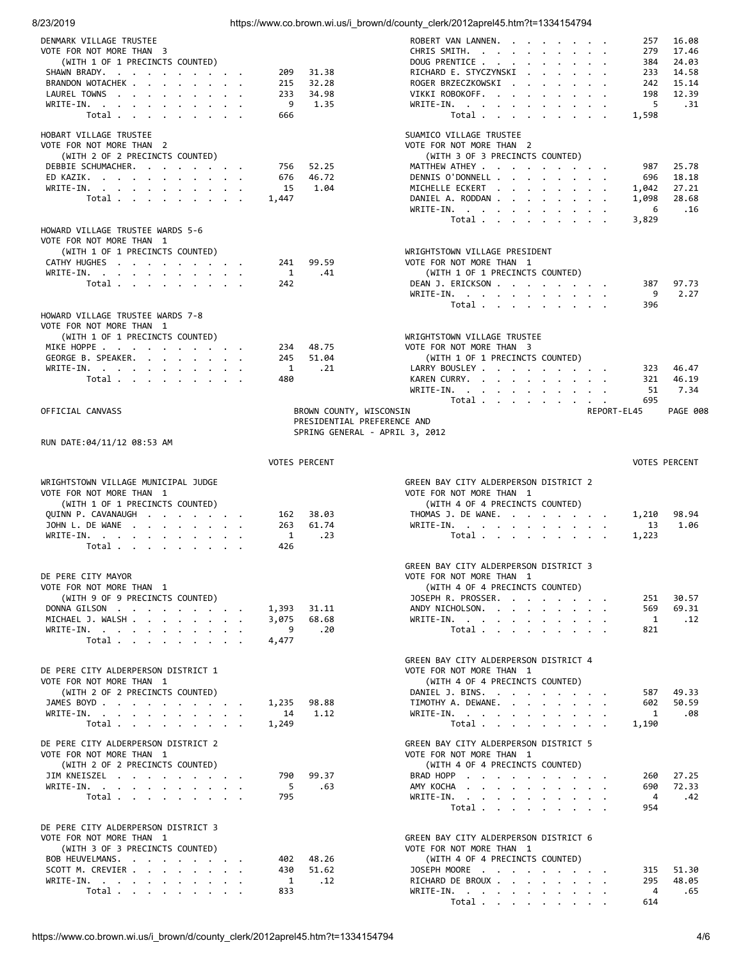| 8/23/2019                                                                                                                                                                                                                                         |            |                      | https://www.co.brown.wi.us/i_brown/d/county_clerk/2012aprel45.htm?t=1334154794 |                                                                 |                 |             |                      |
|---------------------------------------------------------------------------------------------------------------------------------------------------------------------------------------------------------------------------------------------------|------------|----------------------|--------------------------------------------------------------------------------|-----------------------------------------------------------------|-----------------|-------------|----------------------|
| DENMARK VILLAGE TRUSTEE                                                                                                                                                                                                                           |            |                      | ROBERT VAN LANNEN.                                                             |                                                                 |                 | 257         | 16.08                |
| VOTE FOR NOT MORE THAN 3                                                                                                                                                                                                                          |            |                      | CHRIS SMITH.                                                                   |                                                                 |                 | 279         | 17.46                |
| (WITH 1 OF 1 PRECINCTS COUNTED)                                                                                                                                                                                                                   |            |                      | DOUG PRENTICE                                                                  |                                                                 |                 | 384         | 24.03                |
| SHAWN BRADY.                                                                                                                                                                                                                                      | 209        | 31.38                | RICHARD E. STYCZYNSKI                                                          |                                                                 |                 | 233         | 14.58                |
| BRANDON WOTACHEK                                                                                                                                                                                                                                  | 215        | 32.28                | ROGER BRZECZKOWSKI                                                             | $\mathbf{a}$ and $\mathbf{a}$ and $\mathbf{a}$ and $\mathbf{a}$ |                 | 242         | 15.14                |
| LAUREL TOWNS                                                                                                                                                                                                                                      | 233        | 34.98                | VIKKI ROBOKOFF.                                                                |                                                                 |                 | 198         | 12.39                |
| WRITE-IN.<br><u>in the second contract of the second contract of the second contract of the second contract of the second contract of the second contract of the second contract of the second contract of the second contract of the second </u> | 9          | 1.35                 | WRITE-IN.                                                                      |                                                                 |                 | 5           | .31                  |
| Total                                                                                                                                                                                                                                             | 666        |                      | Total                                                                          |                                                                 |                 | 1,598       |                      |
| HOBART VILLAGE TRUSTEE                                                                                                                                                                                                                            |            |                      | SUAMICO VILLAGE TRUSTEE                                                        |                                                                 |                 |             |                      |
| VOTE FOR NOT MORE THAN 2                                                                                                                                                                                                                          |            |                      | VOTE FOR NOT MORE THAN 2                                                       |                                                                 |                 |             |                      |
| (WITH 2 OF 2 PRECINCTS COUNTED)                                                                                                                                                                                                                   |            | 52.25                | (WITH 3 OF 3 PRECINCTS COUNTED)<br>MATTHEW ATHEY                               |                                                                 |                 | 987         | 25.78                |
| DEBBIE SCHUMACHER.<br>ED KAZIK.                                                                                                                                                                                                                   | 756<br>676 | 46.72                | DENNIS O'DONNELL                                                               |                                                                 |                 | 696         | 18.18                |
| WRITE-IN.                                                                                                                                                                                                                                         | 15         | 1.04                 | MICHELLE ECKERT                                                                |                                                                 |                 | 1,042       | 27.21                |
| Total                                                                                                                                                                                                                                             | 1,447      |                      | DANIEL A. RODDAN                                                               |                                                                 |                 | 1,098       | 28.68                |
|                                                                                                                                                                                                                                                   |            |                      | WRITE-IN.                                                                      |                                                                 |                 | 6           | .16                  |
|                                                                                                                                                                                                                                                   |            |                      | Total                                                                          |                                                                 |                 | 3,829       |                      |
| HOWARD VILLAGE TRUSTEE WARDS 5-6                                                                                                                                                                                                                  |            |                      |                                                                                |                                                                 |                 |             |                      |
| VOTE FOR NOT MORE THAN 1                                                                                                                                                                                                                          |            |                      |                                                                                |                                                                 |                 |             |                      |
| (WITH 1 OF 1 PRECINCTS COUNTED)<br>CATHY HUGHES                                                                                                                                                                                                   | 241        | 99.59                | WRIGHTSTOWN VILLAGE PRESIDENT<br>VOTE FOR NOT MORE THAN 1                      |                                                                 |                 |             |                      |
| WRITE-IN.                                                                                                                                                                                                                                         | 1          | .41                  | (WITH 1 OF 1 PRECINCTS COUNTED)                                                |                                                                 |                 |             |                      |
| Total                                                                                                                                                                                                                                             | 242        |                      | DEAN J. ERICKSON                                                               |                                                                 |                 | 387         | 97.73                |
|                                                                                                                                                                                                                                                   |            |                      | WRITE-IN.                                                                      |                                                                 |                 | 9           | 2.27                 |
|                                                                                                                                                                                                                                                   |            |                      | Total                                                                          |                                                                 |                 | 396         |                      |
| HOWARD VILLAGE TRUSTEE WARDS 7-8                                                                                                                                                                                                                  |            |                      |                                                                                |                                                                 |                 |             |                      |
| VOTE FOR NOT MORE THAN 1                                                                                                                                                                                                                          |            |                      |                                                                                |                                                                 |                 |             |                      |
| (WITH 1 OF 1 PRECINCTS COUNTED)                                                                                                                                                                                                                   |            |                      | WRIGHTSTOWN VILLAGE TRUSTEE                                                    |                                                                 |                 |             |                      |
| MIKE HOPPE.<br>GEORGE B. SPEAKER.                                                                                                                                                                                                                 | 234<br>245 | 48.75<br>51.04       | VOTE FOR NOT MORE THAN 3<br>(WITH 1 OF 1 PRECINCTS COUNTED)                    |                                                                 |                 |             |                      |
| WRITE-IN.                                                                                                                                                                                                                                         | 1          | .21                  | LARRY BOUSLEY                                                                  |                                                                 |                 | 323         | 46.47                |
| Total                                                                                                                                                                                                                                             | 480        |                      | KAREN CURRY.                                                                   |                                                                 |                 | 321         | 46.19                |
|                                                                                                                                                                                                                                                   |            |                      | WRITE-IN.                                                                      |                                                                 |                 | 51          | 7.34                 |
|                                                                                                                                                                                                                                                   |            |                      | Total                                                                          |                                                                 |                 | 695         |                      |
| OFFICIAL CANVASS                                                                                                                                                                                                                                  |            |                      | BROWN COUNTY, WISCONSIN                                                        |                                                                 |                 | REPORT-EL45 | <b>PAGE 008</b>      |
|                                                                                                                                                                                                                                                   |            |                      | PRESIDENTIAL PREFERENCE AND                                                    |                                                                 |                 |             |                      |
|                                                                                                                                                                                                                                                   |            |                      | SPRING GENERAL - APRIL 3, 2012                                                 |                                                                 |                 |             |                      |
| RUN DATE:04/11/12 08:53 AM                                                                                                                                                                                                                        |            |                      |                                                                                |                                                                 |                 |             |                      |
|                                                                                                                                                                                                                                                   |            |                      |                                                                                |                                                                 |                 |             |                      |
|                                                                                                                                                                                                                                                   |            | <b>VOTES PERCENT</b> |                                                                                |                                                                 |                 |             | <b>VOTES PERCENT</b> |
|                                                                                                                                                                                                                                                   |            |                      |                                                                                |                                                                 |                 |             |                      |
| WRIGHTSTOWN VILLAGE MUNICIPAL JUDGE                                                                                                                                                                                                               |            |                      | GREEN BAY CITY ALDERPERSON DISTRICT 2                                          |                                                                 |                 |             |                      |
| VOTE FOR NOT MORE THAN 1                                                                                                                                                                                                                          |            |                      | VOTE FOR NOT MORE THAN 1                                                       |                                                                 |                 |             |                      |
| (WITH 1 OF 1 PRECINCTS COUNTED)                                                                                                                                                                                                                   |            |                      | (WITH 4 OF 4 PRECINCTS COUNTED)                                                |                                                                 |                 |             |                      |
| QUINN P. CAVANAUGH                                                                                                                                                                                                                                | 162        | 38.03                | THOMAS J. DE WANE.                                                             |                                                                 |                 | 1,210       | 98.94                |
| JOHN L. DE WANE                                                                                                                                                                                                                                   | 263        | 61.74                | WRITE-IN.                                                                      |                                                                 | $\cdot$ $\cdot$ | 13          | 1.06                 |
| WRITE-IN.<br>Total                                                                                                                                                                                                                                | 1<br>426   | .23                  | Total                                                                          |                                                                 |                 | 1,223       |                      |
|                                                                                                                                                                                                                                                   |            |                      |                                                                                |                                                                 |                 |             |                      |
|                                                                                                                                                                                                                                                   |            |                      | GREEN BAY CITY ALDERPERSON DISTRICT 3                                          |                                                                 |                 |             |                      |
| DE PERE CITY MAYOR                                                                                                                                                                                                                                |            |                      | VOTE FOR NOT MORE THAN 1                                                       |                                                                 |                 |             |                      |
| VOTE FOR NOT MORE THAN 1                                                                                                                                                                                                                          |            |                      | (WITH 4 OF 4 PRECINCTS COUNTED)                                                |                                                                 |                 |             |                      |
| (WITH 9 OF 9 PRECINCTS COUNTED)                                                                                                                                                                                                                   |            |                      | JOSEPH R. PROSSER.                                                             |                                                                 |                 | 251         | 30.57                |
| DONNA GILSON                                                                                                                                                                                                                                      |            | 1,393 31.11          | ANDY NICHOLSON.                                                                |                                                                 |                 | 569         | 69.31                |
| MICHAEL J. WALSH<br>WRITE-IN.                                                                                                                                                                                                                     | 3,075<br>9 | 68.68<br>.20         | WRITE-IN.<br>Total                                                             |                                                                 |                 | 1<br>821    | .12                  |
| Total                                                                                                                                                                                                                                             | 4,477      |                      |                                                                                |                                                                 |                 |             |                      |
|                                                                                                                                                                                                                                                   |            |                      |                                                                                |                                                                 |                 |             |                      |
|                                                                                                                                                                                                                                                   |            |                      | GREEN BAY CITY ALDERPERSON DISTRICT 4                                          |                                                                 |                 |             |                      |
| DE PERE CITY ALDERPERSON DISTRICT 1                                                                                                                                                                                                               |            |                      | VOTE FOR NOT MORE THAN 1                                                       |                                                                 |                 |             |                      |
| VOTE FOR NOT MORE THAN 1                                                                                                                                                                                                                          |            |                      | (WITH 4 OF 4 PRECINCTS COUNTED)                                                |                                                                 |                 |             |                      |
| (WITH 2 OF 2 PRECINCTS COUNTED)<br>JAMES BOYD                                                                                                                                                                                                     | 1,235      | 98.88                | DANIEL J. BINS.<br>TIMOTHY A. DEWANE.                                          |                                                                 |                 | 587<br>602  | 49.33<br>50.59       |
| WRITE-IN.                                                                                                                                                                                                                                         | 14         | 1.12                 | WRITE-IN.                                                                      |                                                                 |                 | 1           | .08                  |
| Total                                                                                                                                                                                                                                             | 1,249      |                      | Total                                                                          |                                                                 |                 | 1,190       |                      |
|                                                                                                                                                                                                                                                   |            |                      |                                                                                |                                                                 |                 |             |                      |
| DE PERE CITY ALDERPERSON DISTRICT 2                                                                                                                                                                                                               |            |                      | GREEN BAY CITY ALDERPERSON DISTRICT 5                                          |                                                                 |                 |             |                      |
| VOTE FOR NOT MORE THAN 1                                                                                                                                                                                                                          |            |                      | VOTE FOR NOT MORE THAN 1                                                       |                                                                 |                 |             |                      |
| (WITH 2 OF 2 PRECINCTS COUNTED)                                                                                                                                                                                                                   |            |                      | (WITH 4 OF 4 PRECINCTS COUNTED)                                                |                                                                 |                 |             |                      |
| JIM KNEISZEL                                                                                                                                                                                                                                      | 790        | 99.37                | BRAD HOPP                                                                      |                                                                 |                 | 260         | 27.25                |
| WRITE-IN.<br>Total                                                                                                                                                                                                                                | 5<br>795   | .63                  | AMY KOCHA                                                                      |                                                                 |                 | 690<br>4    | 72.33<br>.42         |
|                                                                                                                                                                                                                                                   |            |                      | WRITE-IN.<br>Total $\cdots$ $\cdots$ $\cdots$                                  |                                                                 |                 | 954         |                      |
|                                                                                                                                                                                                                                                   |            |                      |                                                                                |                                                                 |                 |             |                      |
| DE PERE CITY ALDERPERSON DISTRICT 3                                                                                                                                                                                                               |            |                      |                                                                                |                                                                 |                 |             |                      |
| VOTE FOR NOT MORE THAN 1                                                                                                                                                                                                                          |            |                      | GREEN BAY CITY ALDERPERSON DISTRICT 6                                          |                                                                 |                 |             |                      |
| (WITH 3 OF 3 PRECINCTS COUNTED)                                                                                                                                                                                                                   |            |                      | VOTE FOR NOT MORE THAN 1                                                       |                                                                 |                 |             |                      |
| BOB HEUVELMANS.                                                                                                                                                                                                                                   | 402        | 48.26                | (WITH 4 OF 4 PRECINCTS COUNTED)                                                |                                                                 |                 |             |                      |
| SCOTT M. CREVIER<br>WRITE-IN.                                                                                                                                                                                                                     | 430<br>1   | 51.62<br>.12         | JOSEPH MOORE<br>RICHARD DE BROUX                                               |                                                                 |                 | 315<br>295  | 51.30<br>48.05       |

Total . . . . . . . . . 614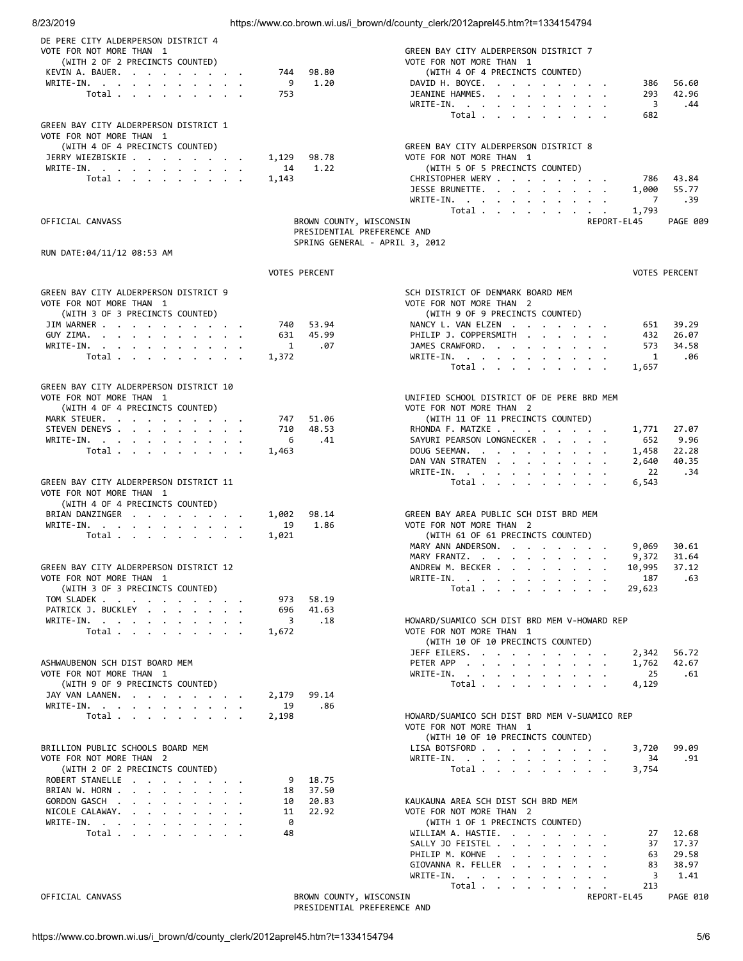| 8/23/2019                                                         |             |                      | https://www.co.brown.wi.us/i brown/d/county clerk/2012aprel45.htm?t=1334154794 |                      |
|-------------------------------------------------------------------|-------------|----------------------|--------------------------------------------------------------------------------|----------------------|
| DE PERE CITY ALDERPERSON DISTRICT 4                               |             |                      |                                                                                |                      |
| VOTE FOR NOT MORE THAN 1                                          |             |                      | GREEN BAY CITY ALDERPERSON DISTRICT 7                                          |                      |
| (WITH 2 OF 2 PRECINCTS COUNTED)                                   |             |                      | VOTE FOR NOT MORE THAN 1                                                       |                      |
| KEVIN A. BAUER.                                                   | 744         | 98.80                | (WITH 4 OF 4 PRECINCTS COUNTED)                                                |                      |
| WRITE-IN.                                                         | 9           | 1.20                 | DAVID H. BOYCE.<br>386                                                         | 56.60                |
| Total                                                             | 753         |                      | JEANINE HAMMES.<br>293                                                         | 42.96                |
|                                                                   |             |                      | 3<br>WRITE-IN.                                                                 | .44                  |
|                                                                   |             |                      | 682<br>Total                                                                   |                      |
| GREEN BAY CITY ALDERPERSON DISTRICT 1<br>VOTE FOR NOT MORE THAN 1 |             |                      |                                                                                |                      |
| (WITH 4 OF 4 PRECINCTS COUNTED)                                   |             |                      | GREEN BAY CITY ALDERPERSON DISTRICT 8                                          |                      |
| JERRY WIEZBISKIE                                                  | 1,129       | 98.78                | VOTE FOR NOT MORE THAN 1                                                       |                      |
| WRITE-IN.                                                         | 14          | 1.22                 | (WITH 5 OF 5 PRECINCTS COUNTED)                                                |                      |
| Total                                                             | 1,143       |                      | CHRISTOPHER WERY<br>786                                                        | 43.84                |
|                                                                   |             |                      | JESSE BRUNETTE.<br>1,000                                                       | 55.77                |
|                                                                   |             |                      | WRITE-IN.<br>7                                                                 | .39                  |
|                                                                   |             |                      | Total<br>1,793                                                                 |                      |
| OFFICIAL CANVASS                                                  |             |                      | BROWN COUNTY, WISCONSIN<br>REPORT-EL45                                         | <b>PAGE 009</b>      |
|                                                                   |             |                      | PRESIDENTIAL PREFERENCE AND                                                    |                      |
|                                                                   |             |                      | SPRING GENERAL - APRIL 3, 2012                                                 |                      |
| RUN DATE:04/11/12 08:53 AM                                        |             |                      |                                                                                |                      |
|                                                                   |             | <b>VOTES PERCENT</b> |                                                                                | <b>VOTES PERCENT</b> |
|                                                                   |             |                      |                                                                                |                      |
| GREEN BAY CITY ALDERPERSON DISTRICT 9                             |             |                      | SCH DISTRICT OF DENMARK BOARD MEM                                              |                      |
| VOTE FOR NOT MORE THAN 1                                          |             |                      | VOTE FOR NOT MORE THAN 2                                                       |                      |
| (WITH 3 OF 3 PRECINCTS COUNTED)                                   |             |                      | (WITH 9 OF 9 PRECINCTS COUNTED)                                                |                      |
| JIM WARNER                                                        | 740         | 53.94                | NANCY L. VAN ELZEN<br>651                                                      | 39.29                |
| GUY ZIMA.                                                         | 631         | 45.99                | PHILIP J. COPPERSMITH<br>432                                                   | 26.07                |
| WRITE-IN.                                                         | 1           | .07                  | JAMES CRAWFORD.<br>573                                                         | 34.58                |
| Total                                                             | 1,372       |                      | 1<br>WRITE-IN.                                                                 | .06                  |
|                                                                   |             |                      | Total<br>1,657                                                                 |                      |
| GREEN BAY CITY ALDERPERSON DISTRICT 10                            |             |                      |                                                                                |                      |
| VOTE FOR NOT MORE THAN 1                                          |             |                      | UNIFIED SCHOOL DISTRICT OF DE PERE BRD MEM                                     |                      |
| (WITH 4 OF 4 PRECINCTS COUNTED)                                   |             |                      | VOTE FOR NOT MORE THAN 2                                                       |                      |
| MARK STEUER.                                                      | 747         | 51.06                | (WITH 11 OF 11 PRECINCTS COUNTED)                                              |                      |
| STEVEN DENEYS                                                     | 710         | 48.53                | RHONDA F. MATZKE<br>1,771                                                      | 27.07                |
| WRITE-IN.                                                         | 6           | .41                  | SAYURI PEARSON LONGNECKER<br>652                                               | 9.96                 |
| Total                                                             | 1,463       |                      | DOUG SEEMAN.<br>1,458                                                          | 22.28                |
|                                                                   |             |                      | DAN VAN STRATEN<br>2,640                                                       | 40.35                |
|                                                                   |             |                      | WRITE-IN.<br>22                                                                | .34                  |
| GREEN BAY CITY ALDERPERSON DISTRICT 11                            |             |                      | Total $\cdots$ $\cdots$ $\cdots$<br>6,543                                      |                      |
| VOTE FOR NOT MORE THAN 1                                          |             |                      |                                                                                |                      |
| (WITH 4 OF 4 PRECINCTS COUNTED)                                   |             |                      |                                                                                |                      |
| BRIAN DANZINGER                                                   | 1,002       | 98.14                | GREEN BAY AREA PUBLIC SCH DIST BRD MEM<br>VOTE FOR NOT MORE THAN 2             |                      |
| WRITE-IN, , , , , , , , , , ,<br>Total                            | 19<br>1,021 | 1.86                 | (WITH 61 OF 61 PRECINCTS COUNTED)                                              |                      |
|                                                                   |             |                      | MARY ANN ANDERSON.<br>9,069                                                    | 30.61                |
|                                                                   |             |                      | MARY FRANTZ.<br>9,372                                                          | 31.64                |
| GREEN BAY CITY ALDERPERSON DISTRICT 12                            |             |                      | ANDREW M. BECKER<br>10,995                                                     | 37.12                |
| VOTE FOR NOT MORE THAN 1                                          |             |                      | 187<br>WRITE-IN.                                                               | .63                  |
| (WITH 3 OF 3 PRECINCTS COUNTED)                                   |             |                      | Total<br>29,623                                                                |                      |
| TOM SLADEK                                                        | 973         | 58.19                |                                                                                |                      |
| PATRICK J. BUCKLEY                                                | 696         | 41.63                |                                                                                |                      |
| WRITE-IN.                                                         | 3           | .18                  | HOWARD/SUAMICO SCH DIST BRD MEM V-HOWARD REP                                   |                      |
| Total                                                             | 1,672       |                      | VOTE FOR NOT MORE THAN 1                                                       |                      |
|                                                                   |             |                      | (WITH 10 OF 10 PRECINCTS COUNTED)                                              |                      |
|                                                                   |             |                      | JEFF EILERS.<br>2,342<br>PETER APP                                             | 56.72<br>42.67       |
| ASHWAUBENON SCH DIST BOARD MEM<br>VOTE FOR NOT MORE THAN 1        |             |                      | 1,762<br>WRITE-IN.<br>25                                                       | .61                  |
| (WITH 9 OF 9 PRECINCTS COUNTED)                                   |             |                      | 4,129<br>Total                                                                 |                      |
| JAY VAN LAANEN.                                                   | 2,179       | 99.14                |                                                                                |                      |
| WRITE-IN.                                                         | 19          | .86                  |                                                                                |                      |
| Total $\cdots$ $\cdots$ $\cdots$                                  | 2,198       |                      | HOWARD/SUAMICO SCH DIST BRD MEM V-SUAMICO REP                                  |                      |
|                                                                   |             |                      | VOTE FOR NOT MORE THAN 1                                                       |                      |
|                                                                   |             |                      | (WITH 10 OF 10 PRECINCTS COUNTED)                                              |                      |
| BRILLION PUBLIC SCHOOLS BOARD MEM                                 |             |                      | LISA BOTSFORD<br>3,720                                                         | 99.09                |
| VOTE FOR NOT MORE THAN 2                                          |             |                      | WRITE-IN.<br>34                                                                | .91                  |
| (WITH 2 OF 2 PRECINCTS COUNTED)                                   |             |                      | Total<br>3,754                                                                 |                      |
| ROBERT STANELLE                                                   | 9           | 18.75                |                                                                                |                      |
| BRIAN W. HORN                                                     | 18          | 37.50                |                                                                                |                      |
| GORDON GASCH<br>NICOLE CALAWAY.                                   | 10<br>11    | 20.83<br>22.92       | KAUKAUNA AREA SCH DIST SCH BRD MEM<br>VOTE FOR NOT MORE THAN 2                 |                      |
| WRITE-IN.                                                         | 0           |                      | (WITH 1 OF 1 PRECINCTS COUNTED)                                                |                      |
| Total                                                             | 48          |                      | WILLIAM A. HASTIE.<br>27                                                       | 12.68                |
|                                                                   |             |                      | SALLY JO FEISTEL<br>37                                                         | 17.37                |
|                                                                   |             |                      | PHILIP M. KOHNE<br>63                                                          | 29.58                |
|                                                                   |             |                      | GIOVANNA R. FELLER<br>83                                                       | 38.97                |
|                                                                   |             |                      | WRITE-IN.<br>3                                                                 | 1.41                 |
|                                                                   |             |                      | Total<br>213                                                                   |                      |
| OFFICIAL CANVASS                                                  |             |                      | BROWN COUNTY, WISCONSIN<br>REPORT-EL45                                         | PAGE 010             |

PRESIDENTIAL PREFERENCE AND